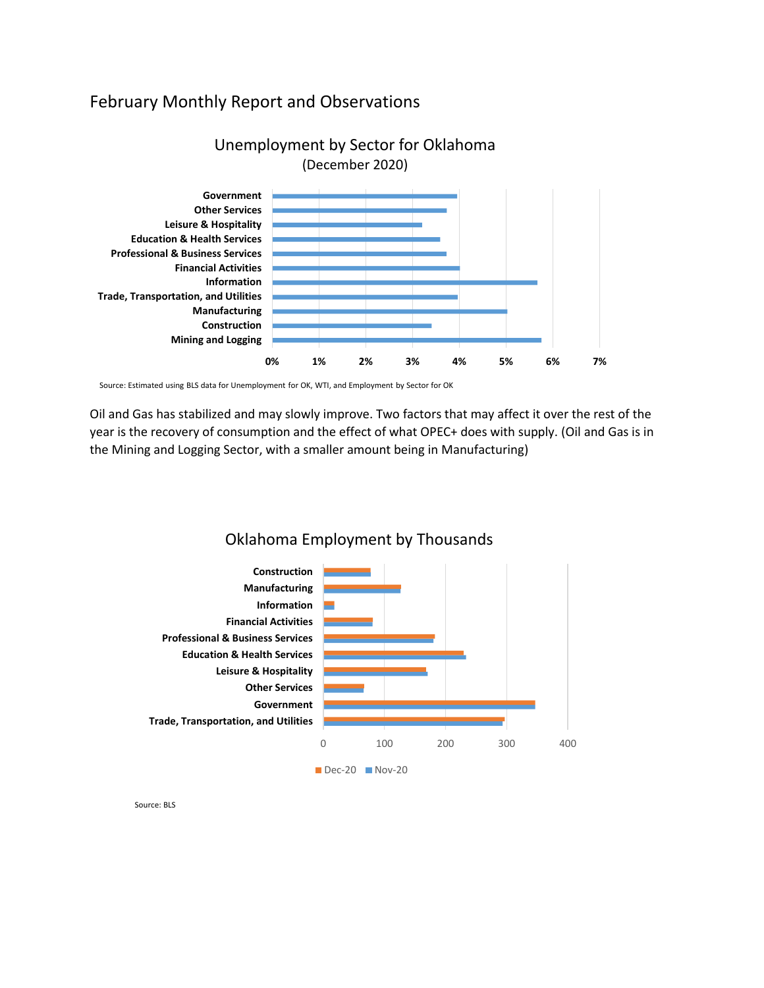# February Monthly Report and Observations



# Unemployment by Sector for Oklahoma

Source: Estimated using BLS data for Unemployment for OK, WTI, and Employment by Sector for OK

Oil and Gas has stabilized and may slowly improve. Two factors that may affect it over the rest of the year is the recovery of consumption and the effect of what OPEC+ does with supply. (Oil and Gas is in the Mining and Logging Sector, with a smaller amount being in Manufacturing)



Oklahoma Employment by Thousands

Source: BLS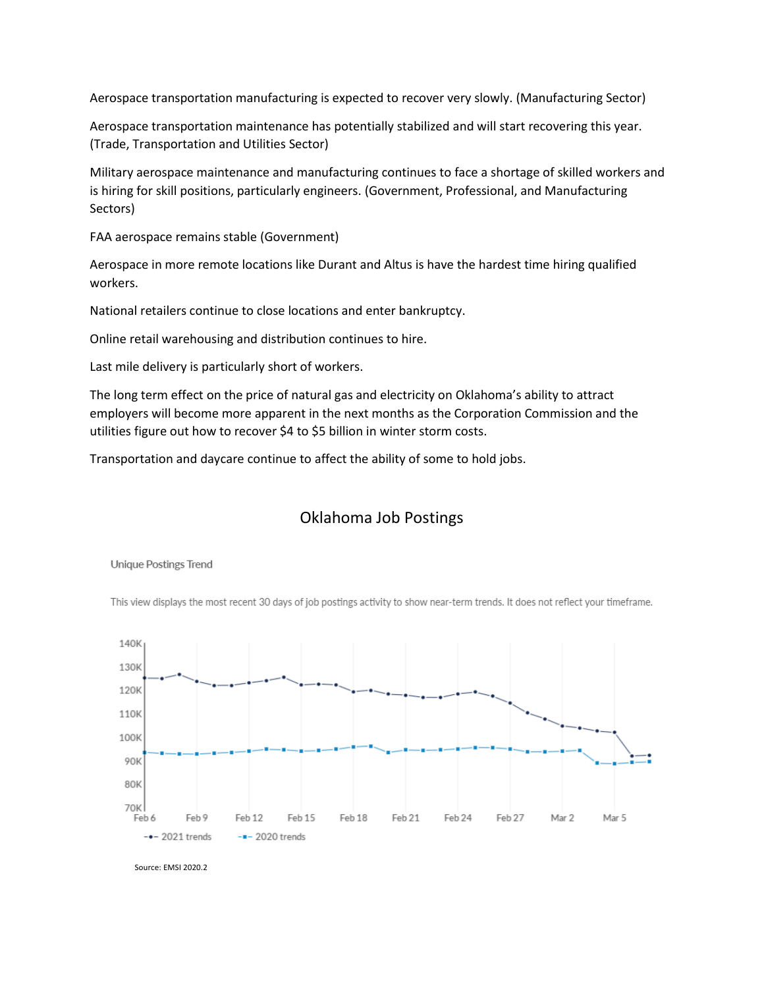Aerospace transportation manufacturing is expected to recover very slowly. (Manufacturing Sector)

Aerospace transportation maintenance has potentially stabilized and will start recovering this year. (Trade, Transportation and Utilities Sector)

Military aerospace maintenance and manufacturing continues to face a shortage of skilled workers and is hiring for skill positions, particularly engineers. (Government, Professional, and Manufacturing Sectors)

FAA aerospace remains stable (Government)

Aerospace in more remote locations like Durant and Altus is have the hardest time hiring qualified workers.

National retailers continue to close locations and enter bankruptcy.

Online retail warehousing and distribution continues to hire.

Last mile delivery is particularly short of workers.

The long term effect on the price of natural gas and electricity on Oklahoma's ability to attract employers will become more apparent in the next months as the Corporation Commission and the utilities figure out how to recover \$4 to \$5 billion in winter storm costs.

Transportation and daycare continue to affect the ability of some to hold jobs.

## Oklahoma Job Postings



**Unique Postings Trend** 

This view displays the most recent 30 days of job postings activity to show near-term trends. It does not reflect your timeframe.

Source: EMSI 2020.2